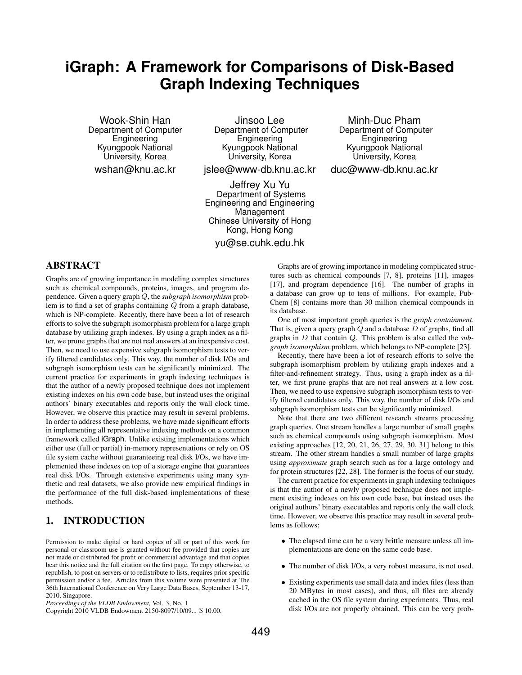# **iGraph: A Framework for Comparisons of Disk-Based Graph Indexing Techniques**

Wook-Shin Han Department of Computer Engineering Kyungpook National University, Korea

wshan@knu.ac.kr

Jinsoo Lee Department of Computer Engineering Kyungpook National University, Korea

jslee@www-db.knu.ac.kr

Jeffrey Xu Yu Department of Systems Engineering and Engineering **Management** Chinese University of Hong Kong, Hong Kong

yu@se.cuhk.edu.hk

Minh-Duc Pham Department of Computer Engineering Kyungpook National University, Korea

duc@www-db.knu.ac.kr

#### ABSTRACT

Graphs are of growing importance in modeling complex structures such as chemical compounds, proteins, images, and program dependence. Given a query graph *Q*, the *subgraph isomorphism* problem is to find a set of graphs containing *Q* from a graph database, which is NP-complete. Recently, there have been a lot of research efforts to solve the subgraph isomorphism problem for a large graph database by utilizing graph indexes. By using a graph index as a filter, we prune graphs that are not real answers at an inexpensive cost. Then, we need to use expensive subgraph isomorphism tests to verify filtered candidates only. This way, the number of disk I/Os and subgraph isomorphism tests can be significantly minimized. The current practice for experiments in graph indexing techniques is that the author of a newly proposed technique does not implement existing indexes on his own code base, but instead uses the original authors' binary executables and reports only the wall clock time. However, we observe this practice may result in several problems. In order to address these problems, we have made significant efforts in implementing all representative indexing methods on a common framework called iGraph. Unlike existing implementations which either use (full or partial) in-memory representations or rely on OS file system cache without guaranteeing real disk I/Os, we have implemented these indexes on top of a storage engine that guarantees real disk I/Os. Through extensive experiments using many synthetic and real datasets, we also provide new empirical findings in the performance of the full disk-based implementations of these methods.

### 1. INTRODUCTION

Permission to make digital or hard copies of all or part of this work for personal or classroom use is granted without fee provided that copies are not made or distributed for profit or commercial advantage and that copies bear this notice and the full citation on the first page. To copy otherwise, to republish, to post on servers or to redistribute to lists, requires prior specific permission and/or a fee. Articles from this volume were presented at The 36th International Conference on Very Large Data Bases, September 13-17, 2010, Singapore.

*Proceedings of the VLDB Endowment,* Vol. 3, No. 1

Copyright 2010 VLDB Endowment 2150-8097/10/09... \$ 10.00.

Graphs are of growing importance in modeling complicated structures such as chemical compounds [7, 8], proteins [11], images [17], and program dependence [16]. The number of graphs in a database can grow up to tens of millions. For example, Pub-Chem [8] contains more than 30 million chemical compounds in its database.

One of most important graph queries is the *graph containment*. That is, given a query graph *Q* and a database *D* of graphs, find all graphs in *D* that contain *Q*. This problem is also called the *subgraph isomorphism* problem, which belongs to NP-complete [23].

Recently, there have been a lot of research efforts to solve the subgraph isomorphism problem by utilizing graph indexes and a filter-and-refinement strategy. Thus, using a graph index as a filter, we first prune graphs that are not real answers at a low cost. Then, we need to use expensive subgraph isomorphism tests to verify filtered candidates only. This way, the number of disk I/Os and subgraph isomorphism tests can be significantly minimized.

Note that there are two different research streams processing graph queries. One stream handles a large number of small graphs such as chemical compounds using subgraph isomorphism. Most existing approaches [12, 20, 21, 26, 27, 29, 30, 31] belong to this stream. The other stream handles a small number of large graphs using *approximate* graph search such as for a large ontology and for protein structures [22, 28]. The former is the focus of our study.

The current practice for experiments in graph indexing techniques is that the author of a newly proposed technique does not implement existing indexes on his own code base, but instead uses the original authors' binary executables and reports only the wall clock time. However, we observe this practice may result in several problems as follows:

- *•* The elapsed time can be a very brittle measure unless all implementations are done on the same code base.
- *•* The number of disk I/Os, a very robust measure, is not used.
- *•* Existing experiments use small data and index files (less than 20 MBytes in most cases), and thus, all files are already cached in the OS file system during experiments. Thus, real disk I/Os are not properly obtained. This can be very prob-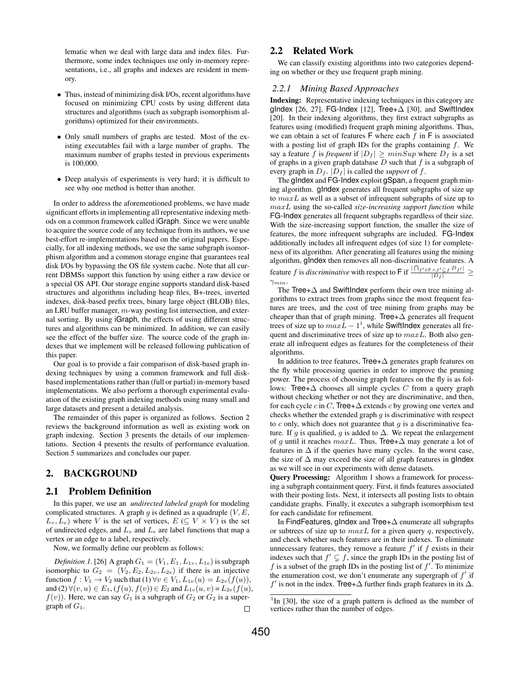lematic when we deal with large data and index files. Furthermore, some index techniques use only in-memory representations, i.e., all graphs and indexes are resident in memory.

- *•* Thus, instead of minimizing disk I/Os, recent algorithms have focused on minimizing CPU costs by using different data structures and algorithms (such as subgraph isomorphism algorithms) optimized for their environments.
- *•* Only small numbers of graphs are tested. Most of the existing executables fail with a large number of graphs. The maximum number of graphs tested in previous experiments is 100,000.
- *•* Deep analysis of experiments is very hard; it is difficult to see why one method is better than another.

In order to address the aforementioned problems, we have made significant efforts in implementing all representative indexing methods on a common framework called iGraph. Since we were unable to acquire the source code of any technique from its authors, we use best-effort re-implementations based on the original papers. Especially, for all indexing methods, we use the same subgraph isomorphism algorithm and a common storage engine that guarantees real disk I/Os by bypassing the OS file system cache. Note that all current DBMSs support this function by using either a raw device or a special OS API. Our storage engine supports standard disk-based structures and algorithms including heap files, B+-trees, inverted indexes, disk-based prefix trees, binary large object (BLOB) files, an LRU buffer manager, *m*-way posting list intersection, and external sorting. By using iGraph, the effects of using different structures and algorithms can be minimized. In addition, we can easily see the effect of the buffer size. The source code of the graph indexes that we implement will be released following publication of this paper.

Our goal is to provide a fair comparison of disk-based graph indexing techniques by using a common framework and full diskbased implementations rather than (full or partial) in-memory based implementations. We also perform a thorough experimental evaluation of the existing graph indexing methods using many small and large datasets and present a detailed analysis.

The remainder of this paper is organized as follows. Section 2 reviews the background information as well as existing work on graph indexing. Section 3 presents the details of our implementations. Section 4 presents the results of performance evaluation. Section 5 summarizes and concludes our paper.

#### 2. BACKGROUND

#### 2.1 Problem Definition

In this paper, we use an *undirected labeled graph* for modeling complicated structures. A graph *g* is defined as a quadruple (*V, E,*  $L_v, L_e$ ) where *V* is the set of vertices,  $E \subseteq V \times V$  is the set of undirected edges, and *L<sup>v</sup>* and *L<sup>e</sup>* are label functions that map a vertex or an edge to a label, respectively.

Now, we formally define our problem as follows:

*Definition 1.* [26] A graph  $G_1 = (V_1, E_1, L_{1v}, L_{1e})$  is subgraph isomorphic to  $G_2 = (V_2, E_2, L_{2v}, L_{2e})$  if there is an injective function  $f: V_1 \to V_2$  such that  $(1) \forall v \in V_1$ ,  $L_{1v}(u) = L_{2v}(f(u))$ , and (2)  $\forall (v, u) \in E_1$ ,  $(f(u), f(v)) \in E_2$  and  $L_1_e(u, v) = L_2_e(f(u))$ ,  $f(v)$ ). Here, we can say  $G_1$  is a subgraph of  $G_2$  or  $G_2$  is a supergraph of *G*1.  $\Box$ 

#### 2.2 Related Work

We can classify existing algorithms into two categories depending on whether or they use frequent graph mining.

#### *2.2.1 Mining Based Approaches*

Indexing: Representative indexing techniques in this category are gIndex [26, 27], FG-Index [12], Tree+ $\Delta$  [30], and SwiftIndex [20]. In their indexing algorithms, they first extract subgraphs as features using (modified) frequent graph mining algorithms. Thus, we can obtain a set of features F where each *f* in F is associated with a posting list of graph IDs for the graphs containing *f*. We say a feature *f* is *frequent* if  $|D_f| \geq minSup$  where  $D_f$  is a set of graphs in a given graph database *D* such that *f* is a subgraph of every graph in  $D_f$ .  $|D_f|$  is called the *support* of *f*.

The gIndex and FG-Index exploit gSpan, a frequent graph mining algorithm. gIndex generates all frequent subgraphs of size up to *maxL* as well as a subset of infrequent subgraphs of size up to *maxL* using the so-called *size-increasing support function* while FG-Index generates all frequent subgraphs regardless of their size. With the size-increasing support function, the smaller the size of features, the more infrequent subgraphs are included. FG-Index additionally includes all infrequent edges (of size 1) for completeness of its algorithm. After generating all features using the mining algorithm, gIndex then removes all non-discriminative features. A feature *f* is *discriminative* with respect to  $\frac{\left| \bigcap_{f' \in F \land f' \subseteq f} D_{f'} \right|}{\left| D_f \right|} \geq$ *γmin*.

The Tree+∆ and SwiftIndex perform their own tree mining algorithms to extract trees from graphs since the most frequent features are trees, and the cost of tree mining from graphs may be cheaper than that of graph mining. Tree+ $\Delta$  generates all frequent trees of size up to  $maxL - 1<sup>1</sup>$ , while SwiftIndex generates all frequent and discriminative trees of size up to *maxL*. Both also generate all infrequent edges as features for the completeness of their algorithms.

In addition to tree features, Tree+∆ generates graph features on the fly while processing queries in order to improve the pruning power. The process of choosing graph features on the fly is as follows: Tree+∆ chooses all simple cycles *C* from a query graph without checking whether or not they are discriminative, and then, for each cycle  $c$  in  $C$ , Tree+ $\Delta$  extends  $c$  by growing one vertex and checks whether the extended graph *g* is discriminative with respect to *c* only, which does not guarantee that *g* is a discriminative feature. If *g* is qualified, *g* is added to  $\Delta$ . We repeat the enlargement of *g* until it reaches *maxL*. Thus, Tree+∆ may generate a lot of features in  $\Delta$  if the queries have many cycles. In the worst case, the size of  $\Delta$  may exceed the size of all graph features in glndex as we will see in our experiments with dense datasets.

Query Processing: Algorithm 1 shows a framework for processing a subgraph containment query. First, it finds features associated with their posting lists. Next, it intersects all posting lists to obtain candidate graphs. Finally, it executes a subgraph isomorphism test for each candidate for refinement.

In FindFeatures, gIndex and Tree+∆ enumerate all subgraphs or subtrees of size up to *maxL* for a given query *q*, respectively, and check whether such features are in their indexes. To eliminate unnecessary features, they remove a feature  $f'$  if  $f$  exists in their indexes such that  $f' \subsetneq f$ , since the graph IDs in the posting list of *f* is a subset of the graph IDs in the posting list of *f ′* . To minimize the enumeration cost, we don't enumerate any supergraph of *f ′* if  $f'$  is not in the index. Tree+ $\Delta$  further finds graph features in its  $\Delta$ .

 $1$ In [30], the size of a graph pattern is defined as the number of vertices rather than the number of edges.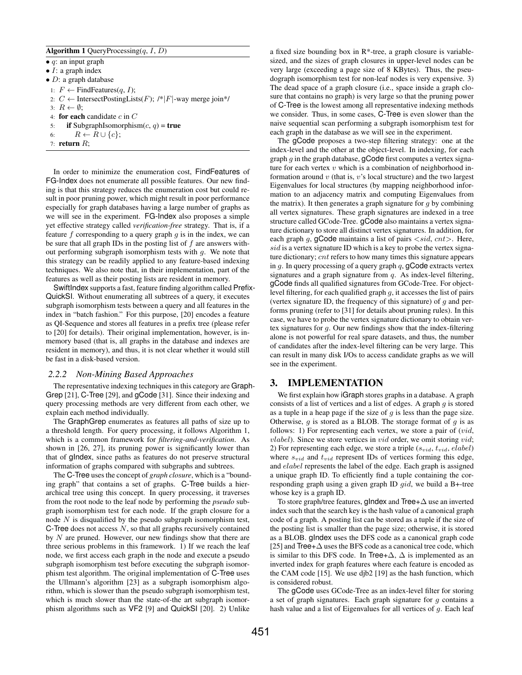#### Algorithm 1 QueryProcessing(*q*, *I*, *D*)

*• q*: an input graph *• I*: a graph index *• D*: a graph database 1: *F ←* FindFeatures(*q*, *I*); 2: *C* ← IntersectPostingLists(*F*);  $\binom{*}{F}$ -way merge join\*/ 3:  $R \leftarrow \emptyset$ ; 4: for each candidate *c* in *C* 5: if SubgraphIsomorphism $(c, q)$  = true 6:  $R \leftarrow R \cup \{c\};$ 

7: **return**  $R$ ;

In order to minimize the enumeration cost, FindFeatures of FG-Index does not enumerate all possible features. Our new finding is that this strategy reduces the enumeration cost but could result in poor pruning power, which might result in poor performance especially for graph databases having a large number of graphs as we will see in the experiment. FG-Index also proposes a simple yet effective strategy called *verification-free* strategy. That is, if a feature *f* corresponding to a query graph *g* is in the index, we can be sure that all graph IDs in the posting list of *f* are answers without performing subgraph isomorphism tests with *g*. We note that this strategy can be readily applied to any feature-based indexing techniques. We also note that, in their implementation, part of the features as well as their posting lists are resident in memory.

SwiftIndex supports a fast, feature finding algorithm called Prefix-QuickSI. Without enumerating all subtrees of a query, it executes subgraph isomorphism tests between a query and all features in the index in "batch fashion." For this purpose, [20] encodes a feature as QI-Sequence and stores all features in a prefix tree (please refer to [20] for details). Their original implementation, however, is inmemory based (that is, all graphs in the database and indexes are resident in memory), and thus, it is not clear whether it would still be fast in a disk-based version.

#### *2.2.2 Non-Mining Based Approaches*

The representative indexing techniques in this category are Graph-Grep [21], C-Tree [29], and gCode [31]. Since their indexing and query processing methods are very different from each other, we explain each method individually.

The GraphGrep enumerates as features all paths of size up to a threshold length. For query processing, it follows Algorithm 1, which is a common framework for *filtering-and-verification*. As shown in [26, 27], its pruning power is significantly lower than that of gIndex, since paths as features do not preserve structural information of graphs compared with subgraphs and subtrees.

The C-Tree uses the concept of *graph closure*, which is a "bounding graph" that contains a set of graphs. C-Tree builds a hierarchical tree using this concept. In query processing, it traverses from the root node to the leaf node by performing the *pseudo* subgraph isomorphism test for each node. If the graph closure for a node *N* is disqualified by the pseudo subgraph isomorphism test, C-Tree does not access *N*, so that all graphs recursively contained by *N* are pruned. However, our new findings show that there are three serious problems in this framework. 1) If we reach the leaf node, we first access each graph in the node and execute a pseudo subgraph isomorphism test before executing the subgraph isomorphism test algorithm. The original implementation of C-Tree uses the Ullmann's algorithm [23] as a subgraph isomorphism algorithm, which is slower than the pseudo subgraph isomorphism test, which is much slower than the state-of-the art subgraph isomorphism algorithms such as VF2 [9] and QuickSI [20]. 2) Unlike

a fixed size bounding box in  $R^*$ -tree, a graph closure is variablesized, and the sizes of graph closures in upper-level nodes can be very large (exceeding a page size of 8 KBytes). Thus, the pseudograph isomorphism test for non-leaf nodes is very expensive. 3) The dead space of a graph closure (i.e., space inside a graph closure that contains no graph) is very large so that the pruning power of C-Tree is the lowest among all representative indexing methods we consider. Thus, in some cases, C-Tree is even slower than the naive sequential scan performing a subgraph isomorphism test for each graph in the database as we will see in the experiment.

The gCode proposes a two-step filtering strategy: one at the index-level and the other at the object-level. In indexing, for each graph *g* in the graph database, gCode first computes a vertex signature for each vertex *v* which is a combination of neighborhood information around *v* (that is, *v*'s local structure) and the two largest Eigenvalues for local structures (by mapping neighborhood information to an adjacency matrix and computing Eigenvalues from the matrix). It then generates a graph signature for *g* by combining all vertex signatures. These graph signatures are indexed in a tree structure called GCode-Tree. gCode also maintains a vertex signature dictionary to store all distinct vertex signatures. In addition, for each graph *g*, gCode maintains a list of pairs *<sid*, *cnt>*. Here, *sid* is a vertex signature ID which is a key to probe the vertex signature dictionary; *cnt* refers to how many times this signature appears in *g*. In query processing of a query graph *q*, gCode extracts vertex signatures and a graph signature from *q*. As index-level filtering, gCode finds all qualified signatures from GCode-Tree. For objectlevel filtering, for each qualified graph *g*, it accesses the list of pairs (vertex signature ID, the frequency of this signature) of *g* and performs pruning (refer to [31] for details about pruning rules). In this case, we have to probe the vertex signature dictionary to obtain vertex signatures for *g*. Our new findings show that the index-filtering alone is not powerful for real spare datasets, and thus, the number of candidates after the index-level filtering can be very large. This can result in many disk I/Os to access candidate graphs as we will see in the experiment.

#### 3. IMPLEMENTATION

We first explain how iGraph stores graphs in a database. A graph consists of a list of vertices and a list of edges. A graph *g* is stored as a tuple in a heap page if the size of *g* is less than the page size. Otherwise, *g* is stored as a BLOB. The storage format of *g* is as follows: 1) For representing each vertex, we store a pair of (*vid*, *vlabel*). Since we store vertices in *vid* order, we omit storing *vid*; 2) For representing each edge, we store a triple (*svid*, *tvid*, *elabel*) where *svid* and *tvid* represent IDs of vertices forming this edge, and *elabel* represents the label of the edge. Each graph is assigned a unique graph ID. To efficiently find a tuple containing the corresponding graph using a given graph ID *gid*, we build a B+-tree whose key is a graph ID.

To store graph/tree features, gIndex and Tree+∆ use an inverted index such that the search key is the hash value of a canonical graph code of a graph. A posting list can be stored as a tuple if the size of the posting list is smaller than the page size; otherwise, it is stored as a BLOB. gIndex uses the DFS code as a canonical graph code [25] and  $\text{Tree}+\Delta$  uses the BFS code as a canonical tree code, which is similar to this DFS code. In Tree+ $\Delta$ ,  $\Delta$  is implemented as an inverted index for graph features where each feature is encoded as the CAM code [15]. We use djb2 [19] as the hash function, which is considered robust.

The gCode uses GCode-Tree as an index-level filter for storing a set of graph signatures. Each graph signature for *g* contains a hash value and a list of Eigenvalues for all vertices of *g*. Each leaf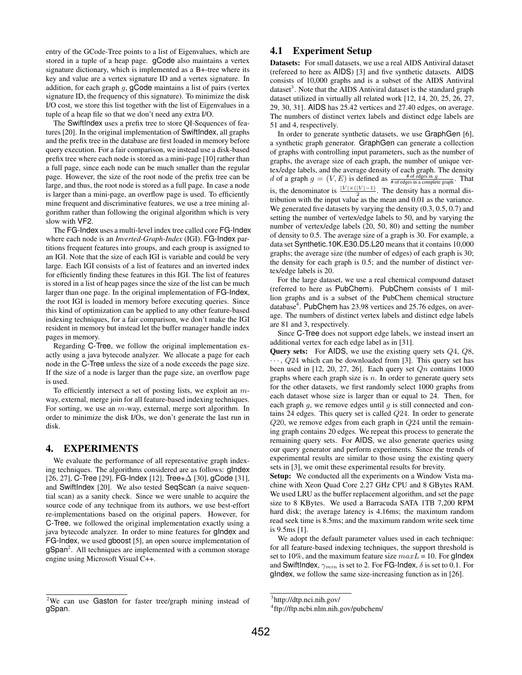entry of the GCode-Tree points to a list of Eigenvalues, which are stored in a tuple of a heap page. gCode also maintains a vertex signature dictionary, which is implemented as a B+-tree where its key and value are a vertex signature ID and a vertex signature. In addition, for each graph *g*, gCode maintains a list of pairs (vertex signature ID, the frequency of this signature). To minimize the disk I/O cost, we store this list together with the list of Eigenvalues in a tuple of a heap file so that we don't need any extra I/O.

The SwiftIndex uses a prefix tree to store QI-Sequences of features [20]. In the original implementation of SwiftIndex, all graphs and the prefix tree in the database are first loaded in memory before query execution. For a fair comparison, we instead use a disk-based prefix tree where each node is stored as a mini-page [10] rather than a full page, since each node can be much smaller than the regular page. However, the size of the root node of the prefix tree can be large, and thus, the root node is stored as a full page. In case a node is larger than a mini-page, an overflow page is used. To efficiently mine frequent and discriminative features, we use a tree mining algorithm rather than following the original algorithm which is very slow with VF2.

The FG-Index uses a multi-level index tree called core FG-Index where each node is an *Inverted-Graph-Index* (IGI). FG-Index partitions frequent features into groups, and each group is assigned to an IGI. Note that the size of each IGI is variable and could be very large. Each IGI consists of a list of features and an inverted index for efficiently finding these features in this IGI. The list of features is stored in a list of heap pages since the size of the list can be much larger than one page. In the original implementation of FG-Index, the root IGI is loaded in memory before executing queries. Since this kind of optimization can be applied to any other feature-based indexing techniques, for a fair comparison, we don't make the IGI resident in memory but instead let the buffer manager handle index pages in memory.

Regarding C-Tree, we follow the original implementation exactly using a java bytecode analyzer. We allocate a page for each node in the C-Tree unless the size of a node exceeds the page size. If the size of a node is larger than the page size, an overflow page is used.

To efficiently intersect a set of posting lists, we exploit an *m*way, external, merge join for all feature-based indexing techniques. For sorting, we use an *m*-way, external, merge sort algorithm. In order to minimize the disk I/Os, we don't generate the last run in disk.

#### 4. EXPERIMENTS

We evaluate the performance of all representative graph indexing techniques. The algorithms considered are as follows: gIndex [26, 27], C-Tree [29], FG-Index [12], Tree+∆ [30], gCode [31], and SwiftIndex [20]. We also tested SeqScan (a naive sequential scan) as a sanity check. Since we were unable to acquire the source code of any technique from its authors, we use best-effort re-implementations based on the original papers. However, for C-Tree, we followed the original implementation exactly using a java bytecode analyzer. In order to mine features for gIndex and FG-Index, we used gboost [5], an open source implementation of gSpan<sup>2</sup>. All techniques are implemented with a common storage engine using Microsoft Visual C++.

#### 4.1 Experiment Setup

Datasets: For small datasets, we use a real AIDS Antiviral dataset (refereed to here as AIDS) [3] and five synthetic datasets. AIDS consists of 10,000 graphs and is a subset of the AIDS Antiviral dataset<sup>3</sup>. Note that the AIDS Antiviral dataset is the standard graph dataset utilized in virtually all related work [12, 14, 20, 25, 26, 27, 29, 30, 31]. AIDS has 25.42 vertices and 27.40 edges, on average. The numbers of distinct vertex labels and distinct edge labels are 51 and 4, respectively.

In order to generate synthetic datasets, we use GraphGen [6], a synthetic graph generator. GraphGen can generate a collection of graphs with controlling input parameters, such as the number of graphs, the average size of each graph, the number of unique vertex/edge labels, and the average density of each graph. The density *d* of a graph  $g = (V, E)$  is defined as  $\frac{\text{# of edges in } g}{\text{# of edges in a complete graph}}$ . That is, the denominator is  $\frac{|V| \times (|V| - 1)}{2}$ . The density has a normal distribution with the input value as the mean and 0.01 as the variance. We generated five datasets by varying the density  $(0.3, 0.5, 0.7)$  and setting the number of vertex/edge labels to 50, and by varying the number of vertex/edge labels (20, 50, 80) and setting the number of density to 0.5. The average size of a graph is 30. For example, a data set Synthetic.10K.E30.D5.L20 means that it contains 10,000 graphs; the average size (the number of edges) of each graph is 30; the density for each graph is 0.5; and the number of distinct vertex/edge labels is 20.

For the large dataset, we use a real chemical compound dataset (referred to here as PubChem). PubChem consists of 1 million graphs and is a subset of the PubChem chemical structure database<sup>4</sup>. PubChem has 23.98 vertices and 25.76 edges, on average. The numbers of distinct vertex labels and distinct edge labels are 81 and 3, respectively.

Since C-Tree does not support edge labels, we instead insert an additional vertex for each edge label as in [31].

Query sets: For AIDS, we use the existing query sets *Q*4, *Q*8, *· · ·* , *Q*24 which can be downloaded from [3]. This query set has been used in [12, 20, 27, 26]. Each query set *Qn* contains 1000 graphs where each graph size is *n*. In order to generate query sets for the other datasets, we first randomly select 1000 graphs from each dataset whose size is larger than or equal to 24. Then, for each graph *g*, we remove edges until *g* is still connected and contains 24 edges. This query set is called *Q*24. In order to generate *Q*20, we remove edges from each graph in *Q*24 until the remaining graph contains 20 edges. We repeat this process to generate the remaining query sets. For AIDS, we also generate queries using our query generator and perform experiments. Since the trends of experimental results are similar to those using the existing query sets in [3], we omit these experimental results for brevity.

Setup: We conducted all the experiments on a Window Vista machine with Xeon Quad Core 2.27 GHz CPU and 8 GBytes RAM. We used LRU as the buffer replacement algorithm, and set the page size to 8 KBytes. We used a Barracuda SATA 1TB 7,200 RPM hard disk; the average latency is 4.16ms; the maximum random read seek time is 8.5ms; and the maximum random write seek time is 9.5ms [1].

We adopt the default parameter values used in each technique: for all feature-based indexing techniques, the support threshold is set to 10%, and the maximum feature size  $maxL = 10$ . For glndex and SwiftIndex, *γmin* is set to 2. For FG-Index, *δ* is set to 0.1. For glndex, we follow the same size-increasing function as in [26].

<sup>&</sup>lt;sup>2</sup>We can use Gaston for faster tree/graph mining instead of gSpan.

<sup>&</sup>lt;sup>3</sup>http://dtp.nci.nih.gov/

<sup>4</sup> ftp://ftp.ncbi.nlm.nih.gov/pubchem/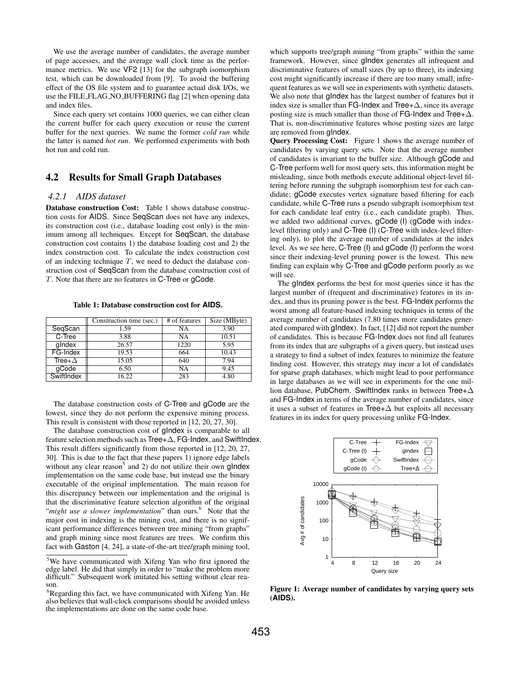We use the average number of candidates, the average number of page accesses, and the average wall clock time as the performance metrics. We use VF2 [13] for the subgraph isomorphism test, which can be downloaded from [9]. To avoid the buffering effect of the OS file system and to guarantee actual disk I/Os, we use the FILE\_FLAG\_NO\_BUFFERING flag [2] when opening data and index files.

Since each query set contains 1000 queries, we can either clean the current buffer for each query execution or reuse the current buffer for the next queries. We name the former *cold run* while the latter is named *hot run*. We performed experiments with both hot run and cold run.

#### 4.2 Results for Small Graph Databases

#### *4.2.1 AIDS dataset*

Database construction Cost: Table 1 shows database construction costs for AIDS. Since SeqScan does not have any indexes, its construction cost (i.e., database loading cost only) is the minimum among all techniques. Except for SeqScan, the database construction cost contains 1) the database loading cost and 2) the index construction cost. To calculate the index construction cost of an indexing technique *T*, we need to deduct the database construction cost of SeqScan from the database construction cost of *T*. Note that there are no features in C-Tree or gCode.

Table 1: Database construction cost for **AIDS**.

|                | Construction time (sec.) | # of features | Size (MByte) |
|----------------|--------------------------|---------------|--------------|
| SegScan        | 1.59                     | NA            | 3.90         |
| C-Tree         | 3.88                     | NA            | 10.51        |
| glndex         | 26.57                    | 1220          | 5.95         |
| FG-Index       | 19.53                    | 664           | 10.43        |
| Tree+ $\Delta$ | 15.05                    | 640           | 7.94         |
| gCode          | 6.50                     | NA            | 9.45         |
| SwiftIndex     | 16.22                    | 283           | 4.80         |

The database construction costs of C-Tree and gCode are the lowest, since they do not perform the expensive mining process. This result is consistent with those reported in [12, 20, 27, 30].

The database construction cost of gIndex is comparable to all feature selection methods such as Tree+∆, FG-Index, and SwiftIndex. This result differs significantly from those reported in [12, 20, 27, 30]. This is due to the fact that these papers 1) ignore edge labels without any clear reason<sup>5</sup> and 2) do not utilize their own glndex implementation on the same code base, but instead use the binary executable of the original implementation. The main reason for this discrepancy between our implementation and the original is that the discriminative feature selection algorithm of the original "*might use a slower implementation*" than ours.<sup>6</sup> Note that the major cost in indexing is the mining cost, and there is no significant performance differences between tree mining "from graphs" and graph mining since most features are trees. We confirm this fact with Gaston [4, 24], a state-of-the-art tree/graph mining tool,

which supports tree/graph mining "from graphs" within the same framework. However, since gIndex generates all infrequent and discriminative features of small sizes (by up to three), its indexing cost might significantly increase if there are too many small, infrequent features as we will see in experiments with synthetic datasets. We also note that gIndex has the largest number of features but it index size is smaller than FG-Index and Tree+∆, since its average posting size is much smaller than those of FG-Index and Tree+∆. That is, non-discriminative features whose posting sizes are large are removed from gIndex.

Query Processing Cost: Figure 1 shows the average number of candidates by varying query sets. Note that the average number of candidates is invariant to the buffer size. Although gCode and C-Tree perform well for most query sets, this information might be misleading, since both methods execute additional object-level filtering before running the subgraph isomorphism test for each candidate; gCode executes vertex signature based filtering for each candidate, while C-Tree runs a pseudo subgraph isomorphism test for each candidate leaf entry (i.e., each candidate graph). Thus, we added two additional curves, gCode (I) (gCode with indexlevel filtering only) and C-Tree (I) (C-Tree with index-level filtering only), to plot the average number of candidates at the index level. As we see here, C-Tree (I) and gCode (I) perform the worst since their indexing-level pruning power is the lowest. This new finding can explain why C-Tree and gCode perform poorly as we will see.

The gIndex performs the best for most queries since it has the largest number of (frequent and discriminative) features in its index, and thus its pruning power is the best. FG-Index performs the worst among all feature-based indexing techniques in terms of the average number of candidates (7.80 times more candidates generated compared with gIndex). In fact, [12] did not report the number of candidates. This is because FG-Index does not find all features from its index that are subgraphs of a given query, but instead uses a strategy to find a subset of index features to minimize the feature finding cost. However, this strategy may incur a lot of candidates for sparse graph databases, which might lead to poor performance in large databases as we will see in experiments for the one million database, PubChem. SwiftIndex ranks in between Tree+∆ and FG-Index in terms of the average number of candidates, since it uses a subset of features in Tree+∆ but exploits all necessary features in its index for query processing unlike FG-Index.



Figure 1: Average number of candidates by varying query sets (**AIDS**).

<sup>5</sup>We have communicated with Xifeng Yan who first ignored the edge label. He did that simply in order to "make the problem more difficult." Subsequent work imitated his setting without clear reason.

 ${}^{6}$ Regarding this fact, we have communicated with Xifeng Yan. He also believes that wall-clock comparisons should be avoided unless the implementations are done on the same code base.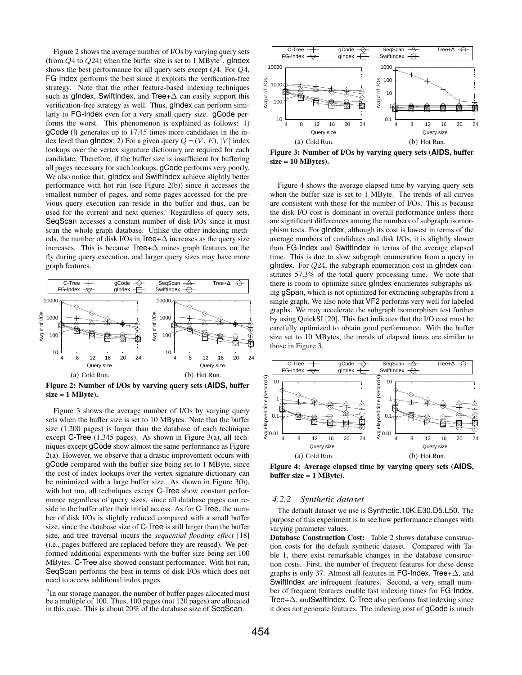Figure 2 shows the average number of I/Os by varying query sets (from  $Q4$  to  $Q24$ ) when the buffer size is set to 1 MByte<sup>7</sup>. glndex shows the best performance for all query sets except *Q*4. For *Q*4, FG-Index performs the best since it exploits the verification-free strategy. Note that the other feature-based indexing techniques such as glndex, SwiftIndex, and Tree+ $\Delta$  can easily support this verification-free strategy as well. Thus, gIndex can perform similarly to FG-Index even for a very small query size. gCode performs the worst. This phenomenon is explained as follows: 1) gCode (I) generates up to 17.45 times more candidates in the index level than glndex; 2) For a given query  $Q = (V, E), |V|$  index lookups over the vertex signature dictionary are required for each candidate. Therefore, if the buffer size is insufficient for buffering all pages necessary for such lookups, gCode performs very poorly. We also notice that, gIndex and SwiftIndex achieve slightly better performance with hot run (see Figure 2(b)) since it accesses the smallest number of pages, and some pages accessed for the previous query execution can reside in the buffer and thus, can be used for the current and next queries. Regardless of query sets, SeqScan accesses a constant number of disk I/Os since it must scan the whole graph database. Unlike the other indexing methods, the number of disk I/Os in Tree+∆ increases as the query size increases. This is because Tree+∆ mines graph features on the fly during query execution, and larger query sizes may have more graph features.



 10 Figure 2: Number of I/Os by varying query sets (**AIDS**, buffer  $size = 1$  MByte).

Figure 3 shows the average number of I/Os by varying query sets when the buffer size is set to 10 MBytes. Note that the buffer size  $(1,200$  pages) is larger than the database of each technique except C-Tree (1,345 pages). As shown in Figure 3(a), all techniques except gCode show almost the same performance as Figure 2(a). However, we observe that a drastic improvement occurs with gCode compared with the buffer size being set to 1 MByte, since the cost of index lookups over the vertex signature dictionary can be minimized with a large buffer size. As shown in Figure 3(b), with hot run, all techniques except C-Tree show constant performance regardless of query sizes, since all database pages can reside in the buffer after their initial access. As for C-Tree, the number of disk I/Os is slightly reduced compared with a small buffer size, since the database size of C-Tree is still larger than the buffer size, and tree traversal incurs the *sequential flooding effect* [18] (i.e., pages buffered are replaced before they are reused). We performed additional experiments with the buffer size being set 100 MBytes. C-Tree also showed constant performance. With hot run, SeqScan performs the best in terms of disk I/Os which does not need to access additional index pages.



 10 Figure 3: Number of I/Os by varying query sets (**AIDS**, buffer  $size = 10$  MBytes).

Figure 4 shows the average elapsed time by varying query sets when the buffer size is set to 1 MByte. The trends of all curves are consistent with those for the number of I/Os. This is because the disk I/O cost is dominant in overall performance unless there are significant differences among the numbers of subgraph isomorphism tests. For gIndex, although its cost is lowest in terms of the average numbers of candidates and disk I/Os, it is slightly slower than FG-Index and SwiftIndex in terms of the average elapsed time. This is due to slow subgraph enumeration from a query in gIndex. For *Q*24, the subgraph enumeration cost in gIndex constitutes 57.3% of the total query processing time. We note that there is room to optimize since gIndex enumerates subgraphs using gSpan, which is not optimized for extracting subgraphs from a single graph. We also note that VF2 performs very well for labeled graphs. We may accelerate the subgraph isomorphism test further by using QuickSI [20]. This fact indicates that the I/O cost must be carefully optimized to obtain good performance. With the buffer size set to 10 MBytes, the trends of elapsed times are similar to those in Figure 3.



 10 Figure 4: Average elapsed time by varying query sets (**AIDS**, buffer size = 1 MByte).

## 1 4 8 12 16 20 24 *4.2.2 Synthetic dataset*

The default dataset we use is Synthetic.10K.E30.D5.L50. The purpose of this experiment is to see how performance changes with varying parameter values.

Database Construction Cost: Table 2 shows database construction costs for the default synthetic dataset. Compared with Table 1, there exist remarkable changes in the database construction costs. First, the number of frequent features for these dense graphs is only 37. Almost all features in FG-Index, Tree+ $\Delta$ , and SwiftIndex are infrequent features. Second, a very small number of frequent features enable fast indexing times for FG-Index, Tree+∆, andSwiftIndex. C-Tree also performs fast indexing since it does not generate features. The indexing cost of gCode is much

 $7$ In our storage manager, the number of buffer pages allocated must be a multiple of 100. Thus, 100 pages (not 120 pages) are allocated in this case. This is about 20% of the database size of SeqScan.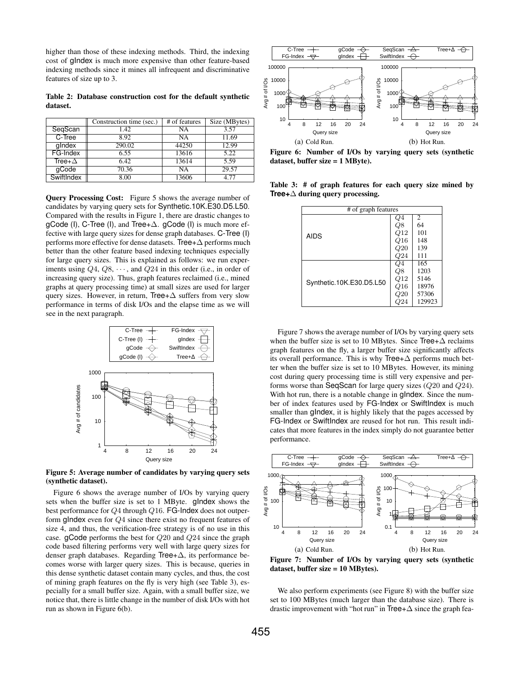higher than those of these indexing methods. Third, the indexing cost of gIndex is much more expensive than other feature-based indexing methods since it mines all infrequent and discriminative features of size up to 3.

Table 2: Database construction cost for the default synthetic dataset.

|                | Construction time (sec.) | # of features | Size (MBytes) |
|----------------|--------------------------|---------------|---------------|
| SegScan        | 1.42                     | NA            | 3.57          |
| C-Tree         | 8.92                     | NA            | 11.69         |
| glndex         | 290.02                   | 44250         | 12.99         |
| FG-Index       | 6.55                     | 13616         | 5.22          |
| Tree+ $\Delta$ | 6.42                     | 13614         | 5.59          |
| gCode          | 70.36                    | NA            | 29.57         |
| SwiftIndex     | 8.00                     | 13606         | 4.77          |

Query Processing Cost: Figure 5 shows the average number of candidates by varying query sets for Synthetic.10K.E30.D5.L50. Compared with the results in Figure 1, there are drastic changes to gCode (I), C-Tree (I), and Tree+∆. gCode (I) is much more effective with large query sizes for dense graph databases. C-Tree (I) performs more effective for dense datasets. Tree+∆ performs much better than the other feature based indexing techniques especially for large query sizes. This is explained as follows: we run experiments using *Q*4, *Q*8, *· · ·* , and *Q*24 in this order (i.e., in order of increasing query size). Thus, graph features reclaimed (i.e., mined graphs at query processing time) at small sizes are used for larger query sizes. However, in return, Tree+∆ suffers from very slow performance in terms of disk I/Os and the elapse time as we will see in the next paragraph.



Figure 5: Average number of candidates by varying query sets (synthetic dataset).

Figure 6 shows the average number of I/Os by varying query sets when the buffer size is set to 1 MByte. gIndex shows the best performance for *Q*4 through *Q*16. FG-Index does not outperform gIndex even for *Q*4 since there exist no frequent features of size 4, and thus, the verification-free strategy is of no use in this case. gCode performs the best for *Q*20 and *Q*24 since the graph code based filtering performs very well with large query sizes for denser graph databases. Regarding Tree+∆, its performance becomes worse with larger query sizes. This is because, queries in this dense synthetic dataset contain many cycles, and thus, the cost of mining graph features on the fly is very high (see Table 3), especially for a small buffer size. Again, with a small buffer size, we notice that, there is little change in the number of disk I/Os with hot run as shown in Figure 6(b).



Figure 6: Number of I/Os by varying query sets (synthetic dataset, buffer size = 1 MByte).

Table 3: # of graph features for each query size mined by Tree+∆ during query processing.

| # of graph features      |          |        |
|--------------------------|----------|--------|
|                          | Q4       | 2      |
|                          | Q8       | 64     |
| <b>AIDS</b>              | Q12      | 101    |
|                          | Q16      | 148    |
|                          | $_{Q20}$ | 139    |
|                          | Q24      | 111    |
|                          | Q4       | 165    |
|                          | Q8       | 1203   |
|                          | Q12      | 5146   |
| Synthetic.10K.E30.D5.L50 | $_{Q16}$ | 18976  |
|                          | $_{Q20}$ | 57306  |
|                          |          | 129923 |

Figure 7 shows the average number of I/Os by varying query sets when the buffer size is set to 10 MBytes. Since Tree+∆ reclaims graph features on the fly, a larger buffer size significantly affects its overall performance. This is why Tree+∆ performs much better when the buffer size is set to 10 MBytes. However, its mining cost during query processing time is still very expensive and performs worse than SeqScan for large query sizes (*Q*20 and *Q*24). With hot run, there is a notable change in glndex. Since the number of index features used by FG-Index or SwiftIndex is much smaller than gIndex, it is highly likely that the pages accessed by FG-Index or SwiftIndex are reused for hot run. This result indicates that more features in the index simply do not guarantee better performance.



Figure 7: Number of I/Os by varying query sets (synthetic dataset, buffer size = 10 MBytes).

We also perform experiments (see Figure 8) with the buffer size set to 100 MBytes (much larger than the database size). There is drastic improvement with "hot run" in Tree+∆ since the graph fea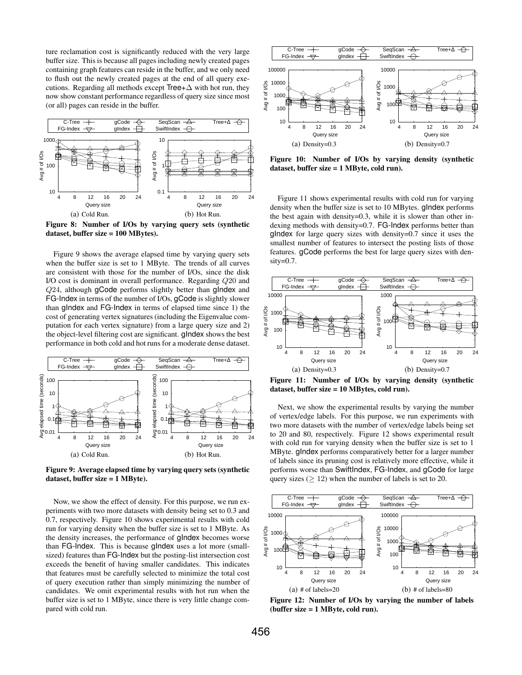ture reclamation cost is significantly reduced with the very large buffer size. This is because all pages including newly created pages containing graph features can reside in the buffer, and we only need to flush out the newly created pages at the end of all query executions. Regarding all methods except Tree+ $\Delta$  with hot run, they now show constant performance regardless of query size since most (or all) pages can reside in the buffer.



Figure 8: Number of I/Os by varying query sets (synthetic dataset, buffer size = 100 MBytes).

Figure 9 shows the average elapsed time by varying query sets when the buffer size is set to 1 MByte. The trends of all curves are consistent with those for the number of I/Os, since the disk I/O cost is dominant in overall performance. Regarding *Q*20 and *Q*24, although gCode performs slightly better than gIndex and FG-Index in terms of the number of I/Os, gCode is slightly slower than gIndex and FG-Index in terms of elapsed time since 1) the cost of generating vertex signatures (including the Eigenvalue computation for each vertex signature) from a large query size and 2) the object-level filtering cost are significant. gIndex shows the best performance in both cold and hot runs for a moderate dense dataset.



Figure 9: Average elapsed time by varying query sets (synthetic dataset, buffer size = 1 MByte).

Now, we show the effect of density. For this purpose, we run experiments with two more datasets with density being set to 0.3 and 0.7, respectively. Figure 10 shows experimental results with cold run for varying density when the buffer size is set to 1 MByte. As the density increases, the performance of gIndex becomes worse than FG-Index. This is because gIndex uses a lot more (smallsized) features than FG-Index but the posting-list intersection cost exceeds the benefit of having smaller candidates. This indicates that features must be carefully selected to minimize the total cost of query execution rather than simply minimizing the number of candidates. We omit experimental results with hot run when the buffer size is set to 1 MByte, since there is very little change compared with cold run.



Figure 10: Number of I/Os by varying density (synthetic dataset, buffer size = 1 MByte, cold run).

Figure 11 shows experimental results with cold run for varying density when the buffer size is set to 10 MBytes. gIndex performs the best again with density=0.3, while it is slower than other indexing methods with density=0.7. FG-Index performs better than glndex for large query sizes with density= $0.7$  since it uses the smallest number of features to intersect the posting lists of those features. gCode performs the best for large query sizes with density=0.7.



Figure 11: Number of I/Os by varying density (synthetic dataset, buffer size = 10 MBytes, cold run).

Next, we show the experimental results by varying the number of vertex/edge labels. For this purpose, we run experiments with two more datasets with the number of vertex/edge labels being set to 20 and 80, respectively. Figure 12 shows experimental result with cold run for varying density when the buffer size is set to 1 MByte. gIndex performs comparatively better for a larger number of labels since its pruning cost is relatively more effective, while it performs worse than SwiftIndex, FG-Index, and gCode for large query sizes ( $\geq$  12) when the number of labels is set to 20.



Figure 12: Number of I/Os by varying the number of labels (buffer size = 1 MByte, cold run).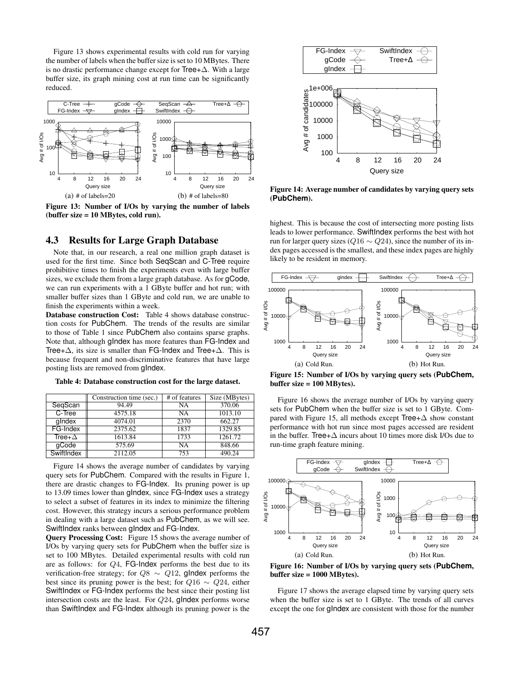Figure 13 shows experimental results with cold run for varying the number of labels when the buffer size is set to 10 MBytes. There is no drastic performance change except for Tree+∆. With a large buffer size, its graph mining cost at run time can be significantly reduced.



Figure 13: Number of I/Os by varying the number of labels (buffer size = 10 MBytes, cold run).

#### 4.3 4.3 Results for Large Graph Database

Note that, in our research, a real one million graph dataset is used for the first time. Since both SeqScan and C-Tree require prohibitive times to finish the experiments even with large buffer sizes, we exclude them from a large graph database. As for gCode, we can run experiments with a 1 GByte buffer and hot run; with smaller buffer sizes than 1 GByte and cold run, we are unable to finish the experiments within a week.

Database construction Cost: Table 4 shows database construction costs for PubChem. The trends of the results are similar to those of Table 1 since PubChem also contains sparse graphs. Note that, although gIndex has more features than FG-Index and Tree+∆, its size is smaller than FG-Index and Tree+∆. This is because frequent and non-discriminative features that have large posting lists are removed from gIndex.

| Table 4: Database construction cost for the large dataset. |  |  |  |
|------------------------------------------------------------|--|--|--|
|------------------------------------------------------------|--|--|--|

|                | Construction time (sec.) | # of features | Size (MBytes) |
|----------------|--------------------------|---------------|---------------|
| SegScan        | 94.49                    | NA            | 370.06        |
| C-Tree         | 4575.18                  | NA            | 1013.10       |
| glndex         | 4074.01                  | 2370          | 662.27        |
| FG-Index       | 2375.62                  | 1837          | 1329.85       |
| Tree+ $\Delta$ | 1613.84                  | 1733          | 1261.72       |
| gCode          | 575.69                   | NA            | 848.66        |
| SwiftIndex     | 2112.05                  | 753           | 490.24        |

Figure 14 shows the average number of candidates by varying query sets for PubChem. Compared with the results in Figure 1, there are drastic changes to FG-Index. Its pruning power is up to 13.09 times lower than gIndex, since FG-Index uses a strategy to select a subset of features in its index to minimize the filtering cost. However, this strategy incurs a serious performance problem in dealing with a large dataset such as PubChem, as we will see. SwiftIndex ranks between gIndex and FG-Index.

Query Processing Cost: Figure 15 shows the average number of I/Os by varying query sets for PubChem when the buffer size is set to 100 MBytes. Detailed experimental results with cold run are as follows: for *Q*4, FG-Index performs the best due to its verification-free strategy; for *Q*8 *∼ Q*12, gIndex performs the best since its pruning power is the best; for  $Q16 \sim Q24$ , either SwiftIndex or FG-Index performs the best since their posting list intersection costs are the least. For *Q*24, gIndex performs worse than SwiftIndex and FG-Index although its pruning power is the



Figure 14: Average number of candidates by varying query sets (**PubChem**).

highest. This is because the cost of intersecting more posting lists leads to lower performance. SwiftIndex performs the best with hot run for larger query sizes ( $Q16 \sim Q24$ ), since the number of its index pages accessed is the smallest, and these index pages are highly likely to be resident in memory.



Figure 15: Number of I/Os by varying query sets (**PubChem**, buffer size = 100 MBytes).

Figure 16 shows the average number of I/Os by varying query  $\frac{1}{2}$  10  $\frac{1}{2}$  10  $\frac{1}{2}$  10  $\frac{1}{2}$  10  $\frac{1}{2}$  10  $\frac{1}{2}$  10  $\frac{1}{2}$  10  $\frac{1}{2}$  11  $\frac{1}{2}$  11  $\frac{1}{2}$  11  $\frac{1}{2}$  11  $\frac{1}{2}$  11  $\frac{1}{2}$  11  $\frac{1}{2}$  11  $\frac{1}{2}$  11  $\frac{1}{2}$  11  $\frac{1}{2}$  11 sets for PubChem when the buffer size is set to 1 GByte. Compared with Figure 15, all methods except Tree+ $\Delta$  show constant performance with hot run since most pages accessed are resident in the buffer. Tree+∆ incurs about 10 times more disk I/Os due to run-time graph feature mining.



buffer size = 1000 MBytes).

Figure 17 shows the average elapsed time by varying query sets when the buffer size is set to 1 GByte. The trends of all curves except the one for gIndex are consistent with those for the number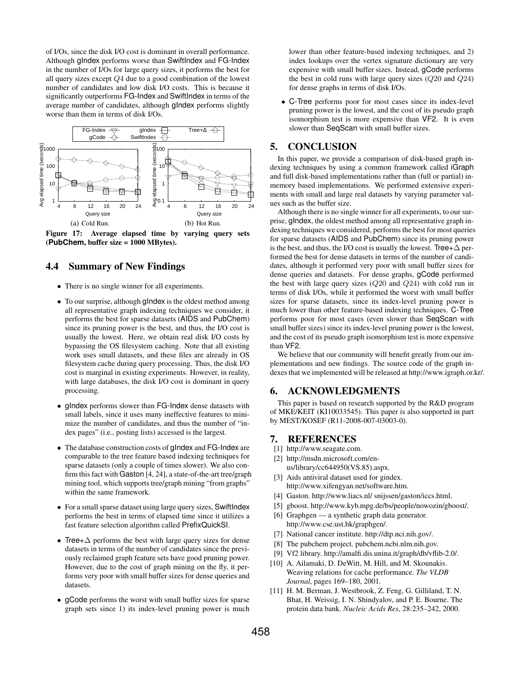of I/Os, since the disk I/O cost is dominant in overall performance. Although gIndex performs worse than SwiftIndex and FG-Index in the number of I/Os for large query sizes, it performs the best for all query sizes except *Q*4 due to a good combination of the lowest number of candidates and low disk I/O costs. This is because it significantly outperforms FG-Index and SwiftIndex in terms of the average number of candidates, although gIndex performs slightly worse than them in terms of disk I/Os.



(**PubChem**, buffer size = 1000 MBytes).

#### 4.4 Summary of New Findings

- There is no single winner for all experiments.
- To our surprise, although gIndex is the oldest method among all representative graph indexing techniques we consider, it performs the best for sparse datasets (AIDS and PubChem) since its pruning power is the best, and thus, the I/O cost is usually the lowest. Here, we obtain real disk I/O costs by bypassing the OS filesystem caching. Note that all existing work uses small datasets, and these files are already in OS filesystem cache during query processing. Thus, the disk I/O cost is marginal in existing experiments. However, in reality, with large databases, the disk I/O cost is dominant in query processing.
- *•* gIndex performs slower than FG-Index dense datasets with small labels, since it uses many ineffective features to minimize the number of candidates, and thus the number of "index pages" (i.e., posting lists) accessed is the largest.
- The database construction costs of glndex and FG-Index are comparable to the tree feature based indexing techniques for sparse datasets (only a couple of times slower). We also confirm this fact with Gaston [4, 24], a state-of-the-art tree/graph mining tool, which supports tree/graph mining "from graphs" within the same framework.
- *•* For a small sparse dataset using large query sizes, SwiftIndex performs the best in terms of elapsed time since it utilizes a fast feature selection algorithm called PrefixQuickSI.
- *•* Tree+∆ performs the best with large query sizes for dense datasets in terms of the number of candidates since the previously reclaimed graph feature sets have good pruning power. However, due to the cost of graph mining on the fly, it performs very poor with small buffer sizes for dense queries and datasets.
- *•* gCode performs the worst with small buffer sizes for sparse graph sets since 1) its index-level pruning power is much

lower than other feature-based indexing techniques, and 2) index lookups over the vertex signature dictionary are very expensive with small buffer sizes. Instead, gCode performs the best in cold runs with large query sizes (*Q*20 and *Q*24) for dense graphs in terms of disk I/Os.

*•* C-Tree performs poor for most cases since its index-level pruning power is the lowest, and the cost of its pseudo graph isomorphism test is more expensive than VF2. It is even slower than SeqScan with small buffer sizes.

#### 5. CONCLUSION

In this paper, we provide a comparison of disk-based graph indexing techniques by using a common framework called iGraph and full disk-based implementations rather than (full or partial) inmemory based implementations. We performed extensive experiments with small and large real datasets by varying parameter values such as the buffer size.

Although there is no single winner for all experiments, to our surprise, gIndex, the oldest method among all representative graph indexing techniques we considered, performs the best for most queries for sparse datasets (AIDS and PubChem) since its pruning power is the best, and thus, the I/O cost is usually the lowest. Tree+ $\Delta$  performed the best for dense datasets in terms of the number of candidates, although it performed very poor with small buffer sizes for dense queries and datasets. For dense graphs, gCode performed the best with large query sizes (*Q*20 and *Q*24) with cold run in terms of disk I/Os, while it performed the worst with small buffer sizes for sparse datasets, since its index-level pruning power is much lower than other feature-based indexing techniques. C-Tree performs poor for most cases (even slower than SeqScan with small buffer sizes) since its index-level pruning power is the lowest, and the cost of its pseudo graph isomorphism test is more expensive than VF2.

We believe that our community will benefit greatly from our implementations and new findings. The source code of the graph indexes that we implemented will be released at http://www.igraph.or.kr/.

#### 6. ACKNOWLEDGMENTS

This paper is based on research supported by the R&D program of MKE/KEIT (KI10033545). This paper is also supported in part by MEST/KOSEF (R11-2008-007-03003-0).

#### 7. REFERENCES

- [1] http://www.seagate.com.
- [2] http://msdn.microsoft.com/enus/library/cc644950(VS.85).aspx.
- [3] Aids antiviral dataset used for gindex. http://www.xifengyan.net/software.htm.
- [4] Gaston. http://www.liacs.nl/ snijssen/gaston/iccs.html.
- [5] gboost. http://www.kyb.mpg.de/bs/people/nowozin/gboost/.
- [6] Graphgen a synthetic graph data generator. http://www.cse.ust.hk/graphgen/.
- [7] National cancer institute. http://dtp.nci.nih.gov/.
- [8] The pubchem project. pubchem.ncbi.nlm.nih.gov.
- [9] Vf2 library. http://amalfi.dis.unina.it/graph/db/vflib-2.0/.
- [10] A. Ailamaki, D. DeWitt, M. Hill, and M. Skounakis. Weaving relations for cache performance. *The VLDB Journal*, pages 169–180, 2001.
- [11] H. M. Berman, J. Westbrook, Z. Feng, G. Gilliland, T. N. Bhat, H. Weissig, I. N. Shindyalov, and P. E. Bourne. The protein data bank. *Nucleic Acids Res*, 28:235–242, 2000.